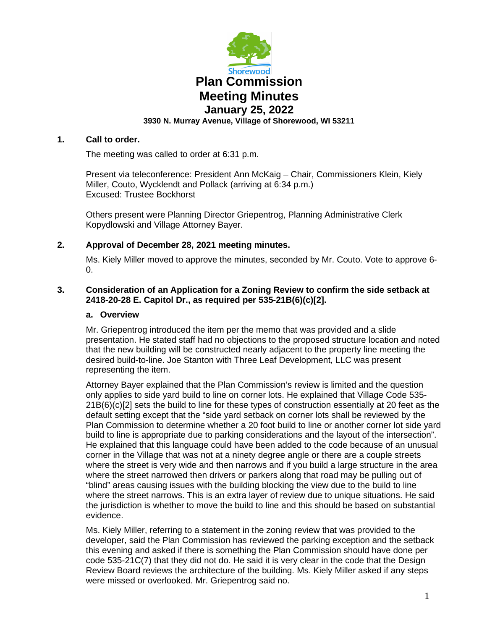

# **1. Call to order.**

The meeting was called to order at 6:31 p.m.

Present via teleconference: President Ann McKaig – Chair, Commissioners Klein, Kiely Miller, Couto, Wycklendt and Pollack (arriving at 6:34 p.m.) Excused: Trustee Bockhorst

Others present were Planning Director Griepentrog, Planning Administrative Clerk Kopydlowski and Village Attorney Bayer.

# **2. Approval of December 28, 2021 meeting minutes.**

Ms. Kiely Miller moved to approve the minutes, seconded by Mr. Couto. Vote to approve 6- 0.

# **3. Consideration of an Application for a Zoning Review to confirm the side setback at 2418-20-28 E. Capitol Dr., as required per 535-21B(6)(c)[2].**

### **a. Overview**

Mr. Griepentrog introduced the item per the memo that was provided and a slide presentation. He stated staff had no objections to the proposed structure location and noted that the new building will be constructed nearly adjacent to the property line meeting the desired build-to-line. Joe Stanton with Three Leaf Development, LLC was present representing the item.

Attorney Bayer explained that the Plan Commission's review is limited and the question only applies to side yard build to line on corner lots. He explained that Village Code 535- 21B(6)(c)[2] sets the build to line for these types of construction essentially at 20 feet as the default setting except that the "side yard setback on corner lots shall be reviewed by the Plan Commission to determine whether a 20 foot build to line or another corner lot side yard build to line is appropriate due to parking considerations and the layout of the intersection". He explained that this language could have been added to the code because of an unusual corner in the Village that was not at a ninety degree angle or there are a couple streets where the street is very wide and then narrows and if you build a large structure in the area where the street narrowed then drivers or parkers along that road may be pulling out of "blind" areas causing issues with the building blocking the view due to the build to line where the street narrows. This is an extra layer of review due to unique situations. He said the jurisdiction is whether to move the build to line and this should be based on substantial evidence.

Ms. Kiely Miller, referring to a statement in the zoning review that was provided to the developer, said the Plan Commission has reviewed the parking exception and the setback this evening and asked if there is something the Plan Commission should have done per code 535-21C(7) that they did not do. He said it is very clear in the code that the Design Review Board reviews the architecture of the building. Ms. Kiely Miller asked if any steps were missed or overlooked. Mr. Griepentrog said no.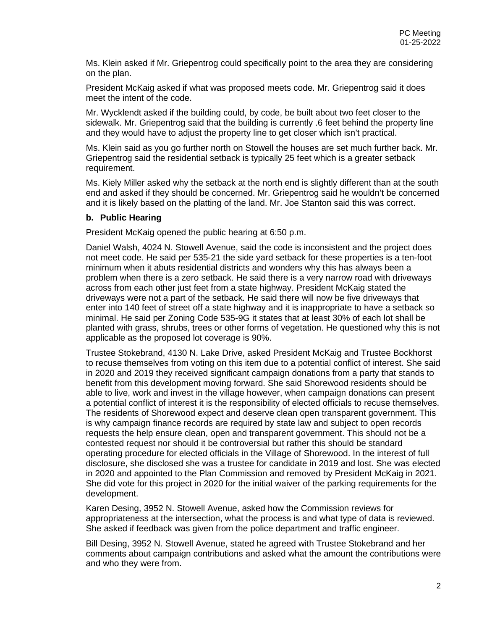Ms. Klein asked if Mr. Griepentrog could specifically point to the area they are considering on the plan.

President McKaig asked if what was proposed meets code. Mr. Griepentrog said it does meet the intent of the code.

Mr. Wycklendt asked if the building could, by code, be built about two feet closer to the sidewalk. Mr. Griepentrog said that the building is currently .6 feet behind the property line and they would have to adjust the property line to get closer which isn't practical.

Ms. Klein said as you go further north on Stowell the houses are set much further back. Mr. Griepentrog said the residential setback is typically 25 feet which is a greater setback requirement.

Ms. Kiely Miller asked why the setback at the north end is slightly different than at the south end and asked if they should be concerned. Mr. Griepentrog said he wouldn't be concerned and it is likely based on the platting of the land. Mr. Joe Stanton said this was correct.

#### **b. Public Hearing**

President McKaig opened the public hearing at 6:50 p.m.

Daniel Walsh, 4024 N. Stowell Avenue, said the code is inconsistent and the project does not meet code. He said per 535-21 the side yard setback for these properties is a ten-foot minimum when it abuts residential districts and wonders why this has always been a problem when there is a zero setback. He said there is a very narrow road with driveways across from each other just feet from a state highway. President McKaig stated the driveways were not a part of the setback. He said there will now be five driveways that enter into 140 feet of street off a state highway and it is inappropriate to have a setback so minimal. He said per Zoning Code 535-9G it states that at least 30% of each lot shall be planted with grass, shrubs, trees or other forms of vegetation. He questioned why this is not applicable as the proposed lot coverage is 90%.

Trustee Stokebrand, 4130 N. Lake Drive, asked President McKaig and Trustee Bockhorst to recuse themselves from voting on this item due to a potential conflict of interest. She said in 2020 and 2019 they received significant campaign donations from a party that stands to benefit from this development moving forward. She said Shorewood residents should be able to live, work and invest in the village however, when campaign donations can present a potential conflict of interest it is the responsibility of elected officials to recuse themselves. The residents of Shorewood expect and deserve clean open transparent government. This is why campaign finance records are required by state law and subject to open records requests the help ensure clean, open and transparent government. This should not be a contested request nor should it be controversial but rather this should be standard operating procedure for elected officials in the Village of Shorewood. In the interest of full disclosure, she disclosed she was a trustee for candidate in 2019 and lost. She was elected in 2020 and appointed to the Plan Commission and removed by President McKaig in 2021. She did vote for this project in 2020 for the initial waiver of the parking requirements for the development.

Karen Desing, 3952 N. Stowell Avenue, asked how the Commission reviews for appropriateness at the intersection, what the process is and what type of data is reviewed. She asked if feedback was given from the police department and traffic engineer.

Bill Desing, 3952 N. Stowell Avenue, stated he agreed with Trustee Stokebrand and her comments about campaign contributions and asked what the amount the contributions were and who they were from.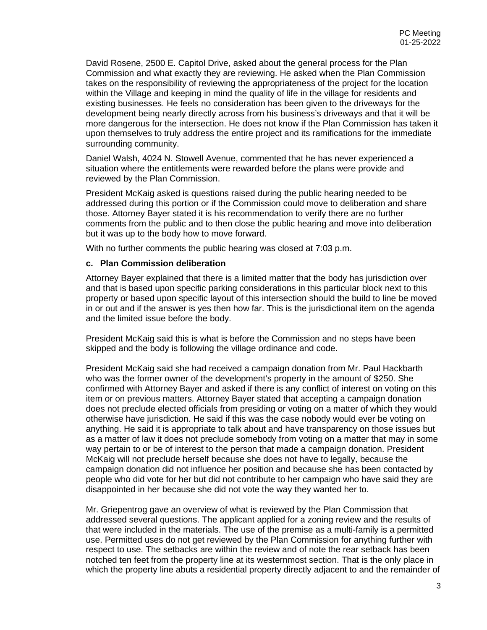David Rosene, 2500 E. Capitol Drive, asked about the general process for the Plan Commission and what exactly they are reviewing. He asked when the Plan Commission takes on the responsibility of reviewing the appropriateness of the project for the location within the Village and keeping in mind the quality of life in the village for residents and existing businesses. He feels no consideration has been given to the driveways for the development being nearly directly across from his business's driveways and that it will be more dangerous for the intersection. He does not know if the Plan Commission has taken it upon themselves to truly address the entire project and its ramifications for the immediate surrounding community.

Daniel Walsh, 4024 N. Stowell Avenue, commented that he has never experienced a situation where the entitlements were rewarded before the plans were provide and reviewed by the Plan Commission.

President McKaig asked is questions raised during the public hearing needed to be addressed during this portion or if the Commission could move to deliberation and share those. Attorney Bayer stated it is his recommendation to verify there are no further comments from the public and to then close the public hearing and move into deliberation but it was up to the body how to move forward.

With no further comments the public hearing was closed at 7:03 p.m.

#### **c. Plan Commission deliberation**

Attorney Bayer explained that there is a limited matter that the body has jurisdiction over and that is based upon specific parking considerations in this particular block next to this property or based upon specific layout of this intersection should the build to line be moved in or out and if the answer is yes then how far. This is the jurisdictional item on the agenda and the limited issue before the body.

President McKaig said this is what is before the Commission and no steps have been skipped and the body is following the village ordinance and code.

President McKaig said she had received a campaign donation from Mr. Paul Hackbarth who was the former owner of the development's property in the amount of \$250. She confirmed with Attorney Bayer and asked if there is any conflict of interest on voting on this item or on previous matters. Attorney Bayer stated that accepting a campaign donation does not preclude elected officials from presiding or voting on a matter of which they would otherwise have jurisdiction. He said if this was the case nobody would ever be voting on anything. He said it is appropriate to talk about and have transparency on those issues but as a matter of law it does not preclude somebody from voting on a matter that may in some way pertain to or be of interest to the person that made a campaign donation. President McKaig will not preclude herself because she does not have to legally, because the campaign donation did not influence her position and because she has been contacted by people who did vote for her but did not contribute to her campaign who have said they are disappointed in her because she did not vote the way they wanted her to.

Mr. Griepentrog gave an overview of what is reviewed by the Plan Commission that addressed several questions. The applicant applied for a zoning review and the results of that were included in the materials. The use of the premise as a multi-family is a permitted use. Permitted uses do not get reviewed by the Plan Commission for anything further with respect to use. The setbacks are within the review and of note the rear setback has been notched ten feet from the property line at its westernmost section. That is the only place in which the property line abuts a residential property directly adjacent to and the remainder of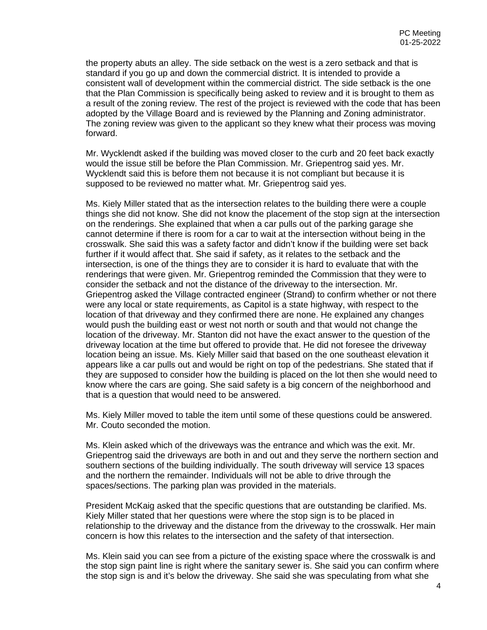the property abuts an alley. The side setback on the west is a zero setback and that is standard if you go up and down the commercial district. It is intended to provide a consistent wall of development within the commercial district. The side setback is the one that the Plan Commission is specifically being asked to review and it is brought to them as a result of the zoning review. The rest of the project is reviewed with the code that has been adopted by the Village Board and is reviewed by the Planning and Zoning administrator. The zoning review was given to the applicant so they knew what their process was moving forward.

Mr. Wycklendt asked if the building was moved closer to the curb and 20 feet back exactly would the issue still be before the Plan Commission. Mr. Griepentrog said yes. Mr. Wycklendt said this is before them not because it is not compliant but because it is supposed to be reviewed no matter what. Mr. Griepentrog said yes.

Ms. Kiely Miller stated that as the intersection relates to the building there were a couple things she did not know. She did not know the placement of the stop sign at the intersection on the renderings. She explained that when a car pulls out of the parking garage she cannot determine if there is room for a car to wait at the intersection without being in the crosswalk. She said this was a safety factor and didn't know if the building were set back further if it would affect that. She said if safety, as it relates to the setback and the intersection, is one of the things they are to consider it is hard to evaluate that with the renderings that were given. Mr. Griepentrog reminded the Commission that they were to consider the setback and not the distance of the driveway to the intersection. Mr. Griepentrog asked the Village contracted engineer (Strand) to confirm whether or not there were any local or state requirements, as Capitol is a state highway, with respect to the location of that driveway and they confirmed there are none. He explained any changes would push the building east or west not north or south and that would not change the location of the driveway. Mr. Stanton did not have the exact answer to the question of the driveway location at the time but offered to provide that. He did not foresee the driveway location being an issue. Ms. Kiely Miller said that based on the one southeast elevation it appears like a car pulls out and would be right on top of the pedestrians. She stated that if they are supposed to consider how the building is placed on the lot then she would need to know where the cars are going. She said safety is a big concern of the neighborhood and that is a question that would need to be answered.

Ms. Kiely Miller moved to table the item until some of these questions could be answered. Mr. Couto seconded the motion.

Ms. Klein asked which of the driveways was the entrance and which was the exit. Mr. Griepentrog said the driveways are both in and out and they serve the northern section and southern sections of the building individually. The south driveway will service 13 spaces and the northern the remainder. Individuals will not be able to drive through the spaces/sections. The parking plan was provided in the materials.

President McKaig asked that the specific questions that are outstanding be clarified. Ms. Kiely Miller stated that her questions were where the stop sign is to be placed in relationship to the driveway and the distance from the driveway to the crosswalk. Her main concern is how this relates to the intersection and the safety of that intersection.

Ms. Klein said you can see from a picture of the existing space where the crosswalk is and the stop sign paint line is right where the sanitary sewer is. She said you can confirm where the stop sign is and it's below the driveway. She said she was speculating from what she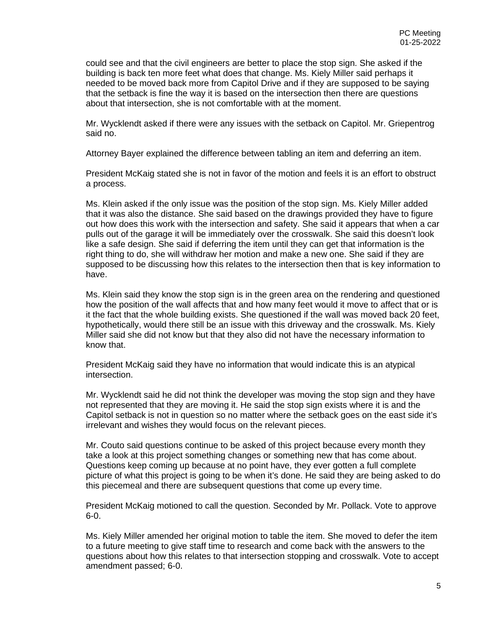could see and that the civil engineers are better to place the stop sign. She asked if the building is back ten more feet what does that change. Ms. Kiely Miller said perhaps it needed to be moved back more from Capitol Drive and if they are supposed to be saying that the setback is fine the way it is based on the intersection then there are questions about that intersection, she is not comfortable with at the moment.

Mr. Wycklendt asked if there were any issues with the setback on Capitol. Mr. Griepentrog said no.

Attorney Bayer explained the difference between tabling an item and deferring an item.

President McKaig stated she is not in favor of the motion and feels it is an effort to obstruct a process.

Ms. Klein asked if the only issue was the position of the stop sign. Ms. Kiely Miller added that it was also the distance. She said based on the drawings provided they have to figure out how does this work with the intersection and safety. She said it appears that when a car pulls out of the garage it will be immediately over the crosswalk. She said this doesn't look like a safe design. She said if deferring the item until they can get that information is the right thing to do, she will withdraw her motion and make a new one. She said if they are supposed to be discussing how this relates to the intersection then that is key information to have.

Ms. Klein said they know the stop sign is in the green area on the rendering and questioned how the position of the wall affects that and how many feet would it move to affect that or is it the fact that the whole building exists. She questioned if the wall was moved back 20 feet, hypothetically, would there still be an issue with this driveway and the crosswalk. Ms. Kiely Miller said she did not know but that they also did not have the necessary information to know that.

President McKaig said they have no information that would indicate this is an atypical intersection.

Mr. Wycklendt said he did not think the developer was moving the stop sign and they have not represented that they are moving it. He said the stop sign exists where it is and the Capitol setback is not in question so no matter where the setback goes on the east side it's irrelevant and wishes they would focus on the relevant pieces.

Mr. Couto said questions continue to be asked of this project because every month they take a look at this project something changes or something new that has come about. Questions keep coming up because at no point have, they ever gotten a full complete picture of what this project is going to be when it's done. He said they are being asked to do this piecemeal and there are subsequent questions that come up every time.

President McKaig motioned to call the question. Seconded by Mr. Pollack. Vote to approve 6-0.

Ms. Kiely Miller amended her original motion to table the item. She moved to defer the item to a future meeting to give staff time to research and come back with the answers to the questions about how this relates to that intersection stopping and crosswalk. Vote to accept amendment passed; 6-0.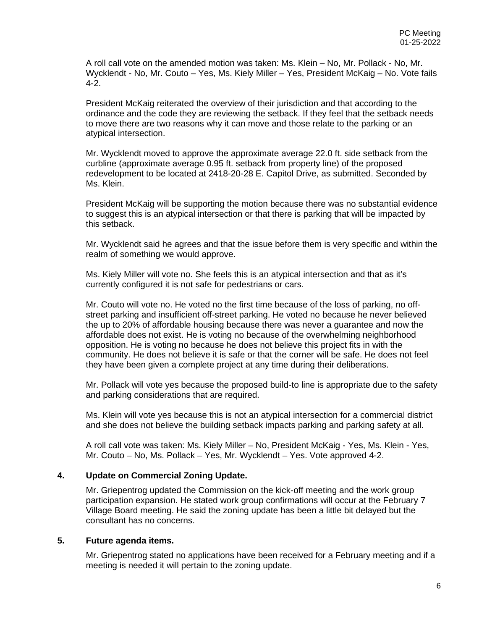A roll call vote on the amended motion was taken: Ms. Klein – No, Mr. Pollack - No, Mr. Wycklendt - No, Mr. Couto – Yes, Ms. Kiely Miller – Yes, President McKaig – No. Vote fails 4-2.

President McKaig reiterated the overview of their jurisdiction and that according to the ordinance and the code they are reviewing the setback. If they feel that the setback needs to move there are two reasons why it can move and those relate to the parking or an atypical intersection.

Mr. Wycklendt moved to approve the approximate average 22.0 ft. side setback from the curbline (approximate average 0.95 ft. setback from property line) of the proposed redevelopment to be located at 2418-20-28 E. Capitol Drive, as submitted. Seconded by Ms. Klein.

President McKaig will be supporting the motion because there was no substantial evidence to suggest this is an atypical intersection or that there is parking that will be impacted by this setback.

Mr. Wycklendt said he agrees and that the issue before them is very specific and within the realm of something we would approve.

Ms. Kiely Miller will vote no. She feels this is an atypical intersection and that as it's currently configured it is not safe for pedestrians or cars.

Mr. Couto will vote no. He voted no the first time because of the loss of parking, no offstreet parking and insufficient off-street parking. He voted no because he never believed the up to 20% of affordable housing because there was never a guarantee and now the affordable does not exist. He is voting no because of the overwhelming neighborhood opposition. He is voting no because he does not believe this project fits in with the community. He does not believe it is safe or that the corner will be safe. He does not feel they have been given a complete project at any time during their deliberations.

Mr. Pollack will vote yes because the proposed build-to line is appropriate due to the safety and parking considerations that are required.

Ms. Klein will vote yes because this is not an atypical intersection for a commercial district and she does not believe the building setback impacts parking and parking safety at all.

A roll call vote was taken: Ms. Kiely Miller – No, President McKaig - Yes, Ms. Klein - Yes, Mr. Couto – No, Ms. Pollack – Yes, Mr. Wycklendt – Yes. Vote approved 4-2.

#### **4. Update on Commercial Zoning Update.**

Mr. Griepentrog updated the Commission on the kick-off meeting and the work group participation expansion. He stated work group confirmations will occur at the February 7 Village Board meeting. He said the zoning update has been a little bit delayed but the consultant has no concerns.

#### **5. Future agenda items.**

Mr. Griepentrog stated no applications have been received for a February meeting and if a meeting is needed it will pertain to the zoning update.